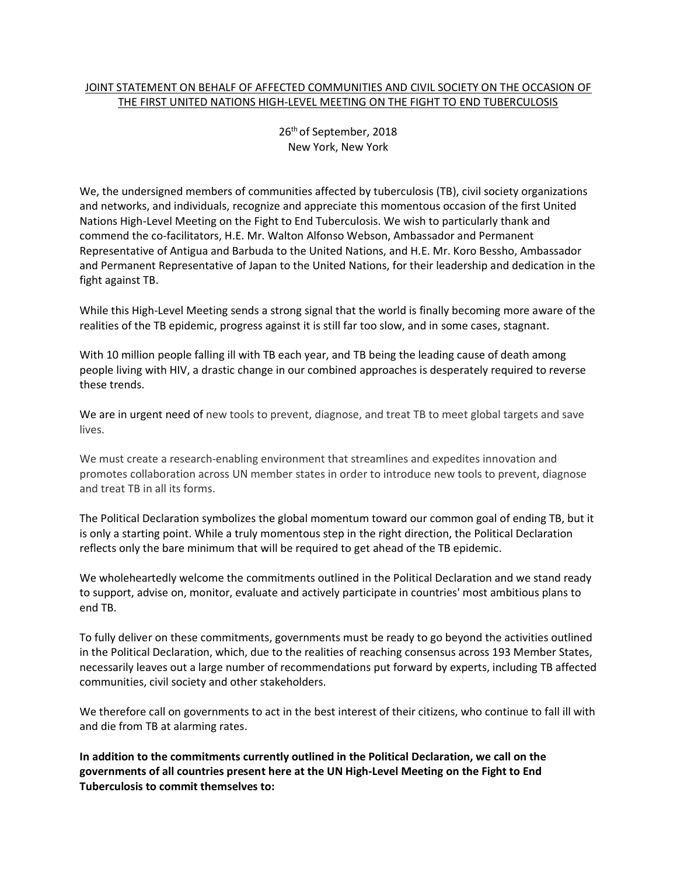## JOINT STATEMENT ON BEHALF OF AFFECTED COMMUNITIES AND CIVIL SOCIETY ON THE OCCASION OF THE FIRST UNITED NATIONS HIGH-LEVEL MEETING ON THE FIGHT TO END TUBERCULOSIS

26th of September, 2018 New York, New York

We, the undersigned members of communities affected by tuberculosis (TB), civil society organizations and networks, and individuals, recognize and appreciate this momentous occasion of the first United Nations High-Level Meeting on the Fight to End Tuberculosis. We wish to particularly thank and commend the co-facilitators, H.E. Mr. Walton Alfonso Webson, Ambassador and Permanent Representative of Antigua and Barbuda to the United Nations, and H.E. Mr. Koro Bessho, Ambassador and Permanent Representative of Japan to the United Nations, for their leadership and dedication in the fight against TB.

While this High-Level Meeting sends a strong signal that the world is finally becoming more aware of the realities of the TB epidemic, progress against it is still far too slow, and in some cases, stagnant.

With 10 million people falling ill with TB each year, and TB being the leading cause of death among people living with HIV, a drastic change in our combined approaches is desperately required to reverse these trends.

We are in urgent need of new tools to prevent, diagnose, and treat TB to meet global targets and save lives.

We must create a research-enabling environment that streamlines and expedites innovation and promotes collaboration across UN member states in order to introduce new tools to prevent, diagnose and treat TB in all its forms.

The Political Declaration symbolizes the global momentum toward our common goal of ending TB, but it is only a starting point. While a truly momentous step in the right direction, the Political Declaration reflects only the bare minimum that will be required to get ahead of the TB epidemic.

We wholeheartedly welcome the commitments outlined in the Political Declaration and we stand ready to support, advise on, monitor, evaluate and actively participate in countries' most ambitious plans to end TB.

To fully deliver on these commitments, governments must be ready to go beyond the activities outlined in the Political Declaration, which, due to the realities of reaching consensus across 193 Member States, necessarily leaves out a large number of recommendations put forward by experts, including TB affected communities, civil society and other stakeholders.

We therefore call on governments to act in the best interest of their citizens, who continue to fall ill with and die from TB at alarming rates.

**In addition to the commitments currently outlined in the Political Declaration, we call on the governments of all countries present here at the UN High-Level Meeting on the Fight to End Tuberculosis to commit themselves to:**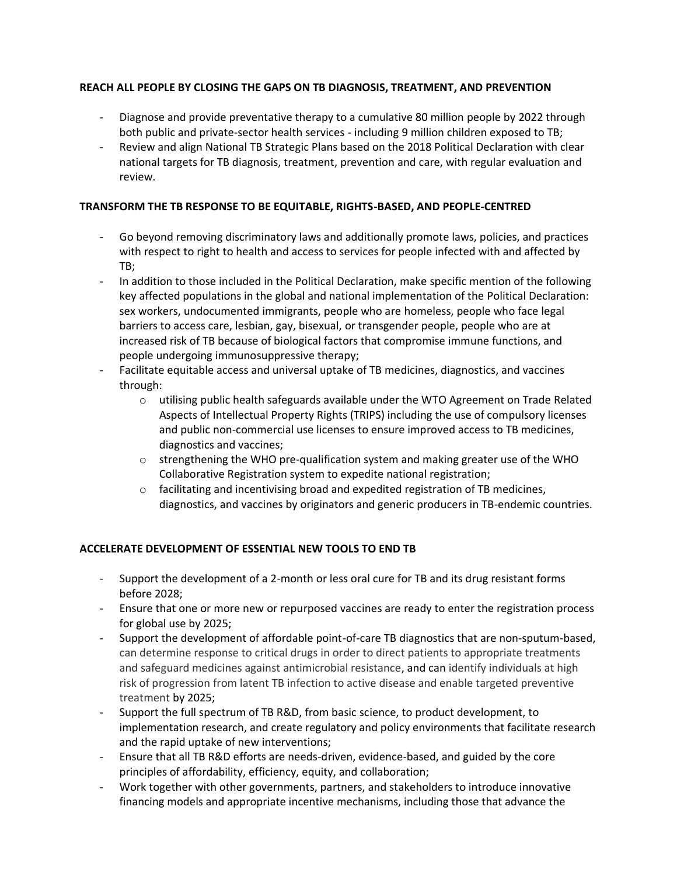# **REACH ALL PEOPLE BY CLOSING THE GAPS ON TB DIAGNOSIS, TREATMENT, AND PREVENTION**

- Diagnose and provide preventative therapy to a cumulative 80 million people by 2022 through both public and private-sector health services - including 9 million children exposed to TB;
- Review and align National TB Strategic Plans based on the 2018 Political Declaration with clear national targets for TB diagnosis, treatment, prevention and care, with regular evaluation and review.

# **TRANSFORM THE TB RESPONSE TO BE EQUITABLE, RIGHTS-BASED, AND PEOPLE-CENTRED**

- Go beyond removing discriminatory laws and additionally promote laws, policies, and practices with respect to right to health and access to services for people infected with and affected by TB;
- In addition to those included in the Political Declaration, make specific mention of the following key affected populations in the global and national implementation of the Political Declaration: sex workers, undocumented immigrants, people who are homeless, people who face legal barriers to access care, lesbian, gay, bisexual, or transgender people, people who are at increased risk of TB because of biological factors that compromise immune functions, and people undergoing immunosuppressive therapy;
- Facilitate equitable access and universal uptake of TB medicines, diagnostics, and vaccines through:
	- o utilising public health safeguards available under the WTO Agreement on Trade Related Aspects of Intellectual Property Rights (TRIPS) including the use of compulsory licenses and public non-commercial use licenses to ensure improved access to TB medicines, diagnostics and vaccines;
	- $\circ$  strengthening the WHO pre-qualification system and making greater use of the WHO Collaborative Registration system to expedite national registration;
	- $\circ$  facilitating and incentivising broad and expedited registration of TB medicines, diagnostics, and vaccines by originators and generic producers in TB-endemic countries.

#### **ACCELERATE DEVELOPMENT OF ESSENTIAL NEW TOOLS TO END TB**

- Support the development of a 2-month or less oral cure for TB and its drug resistant forms before 2028;
- Ensure that one or more new or repurposed vaccines are ready to enter the registration process for global use by 2025;
- Support the development of affordable point-of-care TB diagnostics that are non-sputum-based, can determine response to critical drugs in order to direct patients to appropriate treatments and safeguard medicines against antimicrobial resistance, and can identify individuals at high risk of progression from latent TB infection to active disease and enable targeted preventive treatment by 2025;
- Support the full spectrum of TB R&D, from basic science, to product development, to implementation research, and create regulatory and policy environments that facilitate research and the rapid uptake of new interventions;
- Ensure that all TB R&D efforts are needs-driven, evidence-based, and guided by the core principles of affordability, efficiency, equity, and collaboration;
- Work together with other governments, partners, and stakeholders to introduce innovative financing models and appropriate incentive mechanisms, including those that advance the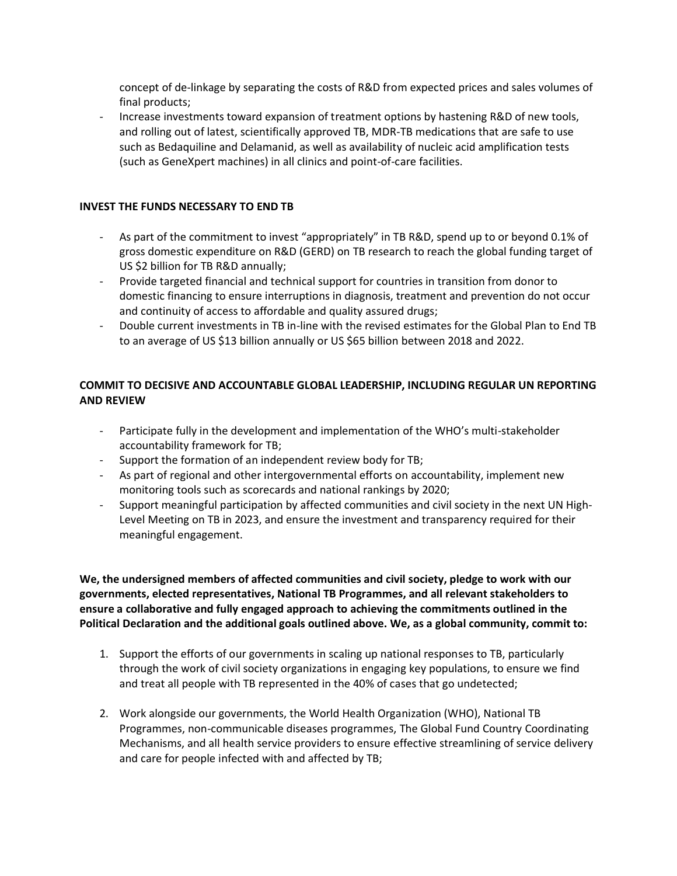concept of de-linkage by separating the costs of R&D from expected prices and sales volumes of final products;

- Increase investments toward expansion of treatment options by hastening R&D of new tools, and rolling out of latest, scientifically approved TB, MDR-TB medications that are safe to use such as Bedaquiline and Delamanid, as well as availability of nucleic acid amplification tests (such as GeneXpert machines) in all clinics and point-of-care facilities.

#### **INVEST THE FUNDS NECESSARY TO END TB**

- As part of the commitment to invest "appropriately" in TB R&D, spend up to or beyond 0.1% of gross domestic expenditure on R&D (GERD) on TB research to reach the global funding target of US \$2 billion for TB R&D annually;
- Provide targeted financial and technical support for countries in transition from donor to domestic financing to ensure interruptions in diagnosis, treatment and prevention do not occur and continuity of access to affordable and quality assured drugs;
- Double current investments in TB in-line with the revised estimates for the Global Plan to End TB to an average of US \$13 billion annually or US \$65 billion between 2018 and 2022.

# **COMMIT TO DECISIVE AND ACCOUNTABLE GLOBAL LEADERSHIP, INCLUDING REGULAR UN REPORTING AND REVIEW**

- Participate fully in the development and implementation of the WHO's multi-stakeholder accountability framework for TB;
- Support the formation of an independent review body for TB;
- As part of regional and other intergovernmental efforts on accountability, implement new monitoring tools such as scorecards and national rankings by 2020;
- Support meaningful participation by affected communities and civil society in the next UN High-Level Meeting on TB in 2023, and ensure the investment and transparency required for their meaningful engagement.

**We, the undersigned members of affected communities and civil society, pledge to work with our governments, elected representatives, National TB Programmes, and all relevant stakeholders to ensure a collaborative and fully engaged approach to achieving the commitments outlined in the Political Declaration and the additional goals outlined above. We, as a global community, commit to:**

- 1. Support the efforts of our governments in scaling up national responses to TB, particularly through the work of civil society organizations in engaging key populations, to ensure we find and treat all people with TB represented in the 40% of cases that go undetected;
- 2. Work alongside our governments, the World Health Organization (WHO), National TB Programmes, non-communicable diseases programmes, The Global Fund Country Coordinating Mechanisms, and all health service providers to ensure effective streamlining of service delivery and care for people infected with and affected by TB;